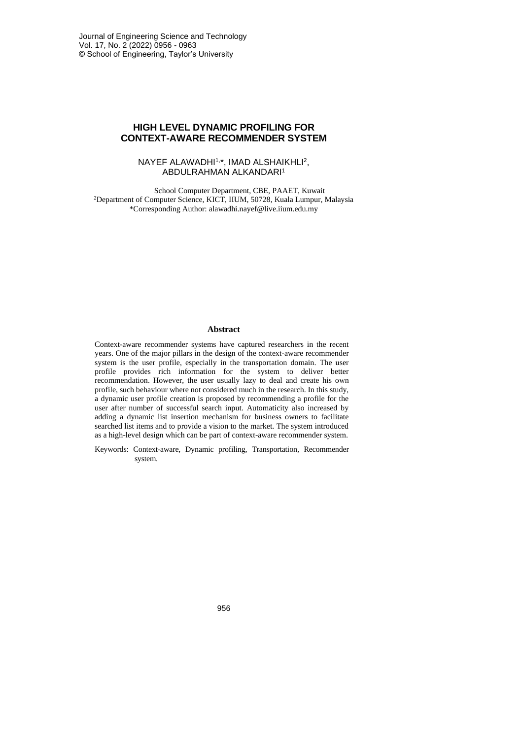# **HIGH LEVEL DYNAMIC PROFILING FOR CONTEXT-AWARE RECOMMENDER SYSTEM**

### NAYEF ALAWADHI1,\*, IMAD ALSHAIKHLI<sup>2</sup> , ABDULRAHMAN ALKANDARI<sup>1</sup>

School Computer Department, CBE, PAAET, Kuwait <sup>2</sup>Department of Computer Science, KICT, IIUM, 50728, Kuala Lumpur, Malaysia \*Corresponding Author: alawadhi.nayef@live.iium.edu.my

#### **Abstract**

Context-aware recommender systems have captured researchers in the recent years. One of the major pillars in the design of the context-aware recommender system is the user profile, especially in the transportation domain. The user profile provides rich information for the system to deliver better recommendation. However, the user usually lazy to deal and create his own profile, such behaviour where not considered much in the research. In this study, a dynamic user profile creation is proposed by recommending a profile for the user after number of successful search input. Automaticity also increased by adding a dynamic list insertion mechanism for business owners to facilitate searched list items and to provide a vision to the market. The system introduced as a high-level design which can be part of context-aware recommender system.

Keywords: Context-aware, Dynamic profiling, Transportation, Recommender system.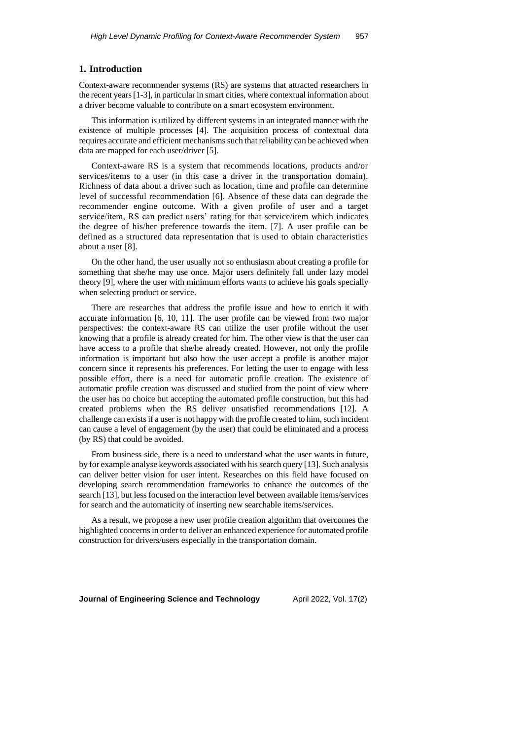## **1. Introduction**

Context-aware recommender systems (RS) are systems that attracted researchers in the recent years [1-3], in particular in smart cities, where contextual information about a driver become valuable to contribute on a smart ecosystem environment.

This information is utilized by different systems in an integrated manner with the existence of multiple processes [4]. The acquisition process of contextual data requires accurate and efficient mechanisms such that reliability can be achieved when data are mapped for each user/driver [5].

Context-aware RS is a system that recommends locations, products and/or services/items to a user (in this case a driver in the transportation domain). Richness of data about a driver such as location, time and profile can determine level of successful recommendation [6]. Absence of these data can degrade the recommender engine outcome. With a given profile of user and a target service/item, RS can predict users' rating for that service/item which indicates the degree of his/her preference towards the item. [7]. A user profile can be defined as a structured data representation that is used to obtain characteristics about a user [8].

On the other hand, the user usually not so enthusiasm about creating a profile for something that she/he may use once. Major users definitely fall under lazy model theory [9], where the user with minimum efforts wants to achieve his goals specially when selecting product or service.

There are researches that address the profile issue and how to enrich it with accurate information [6, 10, 11]. The user profile can be viewed from two major perspectives: the context-aware RS can utilize the user profile without the user knowing that a profile is already created for him. The other view is that the user can have access to a profile that she/he already created. However, not only the profile information is important but also how the user accept a profile is another major concern since it represents his preferences. For letting the user to engage with less possible effort, there is a need for automatic profile creation. The existence of automatic profile creation was discussed and studied from the point of view where the user has no choice but accepting the automated profile construction, but this had created problems when the RS deliver unsatisfied recommendations [12]. A challenge can exists if a user is not happy with the profile created to him, such incident can cause a level of engagement (by the user) that could be eliminated and a process (by RS) that could be avoided.

From business side, there is a need to understand what the user wants in future, by for example analyse keywords associated with his search query [13]. Such analysis can deliver better vision for user intent. Researches on this field have focused on developing search recommendation frameworks to enhance the outcomes of the search [13], but less focused on the interaction level between available items/services for search and the automaticity of inserting new searchable items/services.

As a result, we propose a new user profile creation algorithm that overcomes the highlighted concerns in order to deliver an enhanced experience for automated profile construction for drivers/users especially in the transportation domain.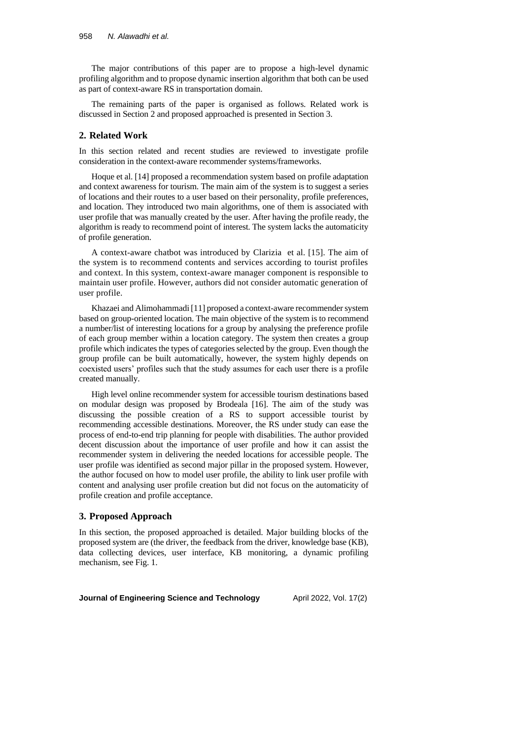The major contributions of this paper are to propose a high-level dynamic profiling algorithm and to propose dynamic insertion algorithm that both can be used as part of context-aware RS in transportation domain.

The remaining parts of the paper is organised as follows. Related work is discussed in Section 2 and proposed approached is presented in Section 3.

### **2. Related Work**

In this section related and recent studies are reviewed to investigate profile consideration in the context-aware recommender systems/frameworks.

Hoque et al. [14] proposed a recommendation system based on profile adaptation and context awareness for tourism. The main aim of the system is to suggest a series of locations and their routes to a user based on their personality, profile preferences, and location. They introduced two main algorithms, one of them is associated with user profile that was manually created by the user. After having the profile ready, the algorithm is ready to recommend point of interest. The system lacks the automaticity of profile generation.

A context-aware chatbot was introduced by Clarizia et al. [15]. The aim of the system is to recommend contents and services according to tourist profiles and context. In this system, context-aware manager component is responsible to maintain user profile. However, authors did not consider automatic generation of user profile.

Khazaei and Alimohammadi [11] proposed a context-aware recommender system based on group-oriented location. The main objective of the system is to recommend a number/list of interesting locations for a group by analysing the preference profile of each group member within a location category. The system then creates a group profile which indicates the types of categories selected by the group. Even though the group profile can be built automatically, however, the system highly depends on coexisted users' profiles such that the study assumes for each user there is a profile created manually.

High level online recommender system for accessible tourism destinations based on modular design was proposed by Brodeala [16]. The aim of the study was discussing the possible creation of a RS to support accessible tourist by recommending accessible destinations. Moreover, the RS under study can ease the process of end-to-end trip planning for people with disabilities. The author provided decent discussion about the importance of user profile and how it can assist the recommender system in delivering the needed locations for accessible people. The user profile was identified as second major pillar in the proposed system. However, the author focused on how to model user profile, the ability to link user profile with content and analysing user profile creation but did not focus on the automaticity of profile creation and profile acceptance.

### **3. Proposed Approach**

In this section, the proposed approached is detailed. Major building blocks of the proposed system are (the driver, the feedback from the driver, knowledge base (KB), data collecting devices, user interface, KB monitoring, a dynamic profiling mechanism, see Fig. 1.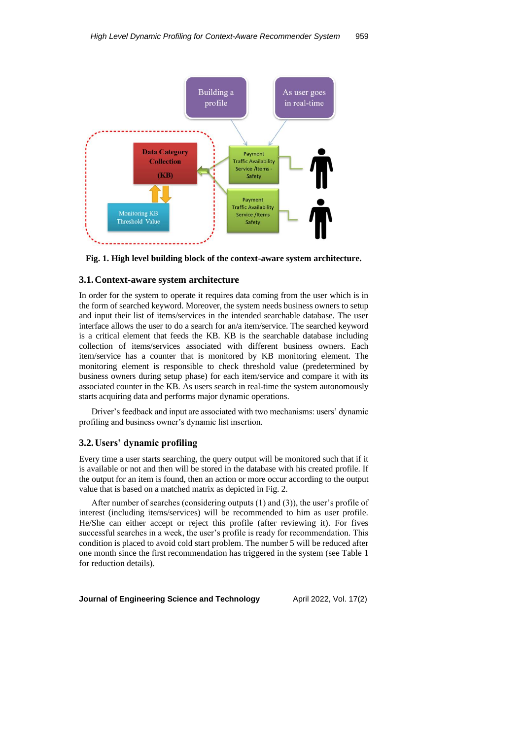

**Fig. 1. High level building block of the context-aware system architecture.**

### **3.1.Context-aware system architecture**

In order for the system to operate it requires data coming from the user which is in the form of searched keyword. Moreover, the system needs business owners to setup and input their list of items/services in the intended searchable database. The user interface allows the user to do a search for an/a item/service. The searched keyword is a critical element that feeds the KB. KB is the searchable database including collection of items/services associated with different business owners. Each item/service has a counter that is monitored by KB monitoring element. The monitoring element is responsible to check threshold value (predetermined by business owners during setup phase) for each item/service and compare it with its associated counter in the KB. As users search in real-time the system autonomously starts acquiring data and performs major dynamic operations.

Driver's feedback and input are associated with two mechanisms: users' dynamic profiling and business owner's dynamic list insertion.

### **3.2.Users' dynamic profiling**

Every time a user starts searching, the query output will be monitored such that if it is available or not and then will be stored in the database with his created profile. If the output for an item is found, then an action or more occur according to the output value that is based on a matched matrix as depicted in Fig. 2.

After number of searches (considering outputs (1) and (3)), the user's profile of interest (including items/services) will be recommended to him as user profile. He/She can either accept or reject this profile (after reviewing it). For fives successful searches in a week, the user's profile is ready for recommendation. This condition is placed to avoid cold start problem. The number 5 will be reduced after one month since the first recommendation has triggered in the system (see Table 1 for reduction details).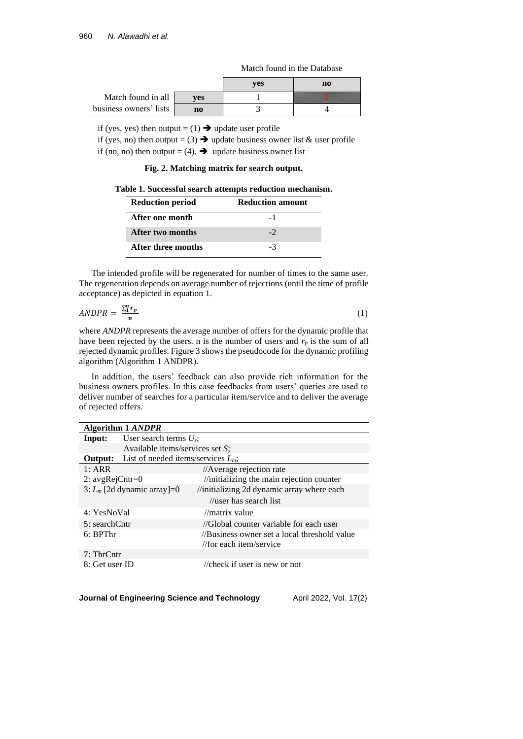|                        |     | ves | no |
|------------------------|-----|-----|----|
| Match found in all     | ves |     |    |
| business owners' lists | no  |     |    |

if (yes, yes) then output =  $(1) \rightarrow$  update user profile

if (yes, no) then output = (3)  $\rightarrow$  update business owner list & user profile if (no, no) then output = (4),  $\rightarrow$  update business owner list

**Fig. 2. Matching matrix for search output.**

**Table 1. Successful search attempts reduction mechanism.**

| <b>Reduction period</b> | <b>Reduction amount</b> |
|-------------------------|-------------------------|
| After one month         | $-1$                    |
| After two months        | $-2$                    |
| After three months      | -3                      |

The intended profile will be regenerated for number of times to the same user. The regeneration depends on average number of rejections (until the time of profile acceptance) as depicted in equation 1.

$$
ANDPR = \frac{\sum_{i=1}^{n} r_p}{n} \tag{1}
$$

where *ANDPR* represents the average number of offers for the dynamic profile that have been rejected by the users. n is the number of users and  $r_p$  is the sum of all rejected dynamic profiles. Figure 3 shows the pseudocode for the dynamic profiling algorithm (Algorithm 1 ANDPR).

In addition, the users' feedback can also provide rich information for the business owners profiles. In this case feedbacks from users' queries are used to deliver number of searches for a particular item/service and to deliver the average of rejected offers.

| Algorithm 1 ANDPR |                                                      |                                              |  |  |
|-------------------|------------------------------------------------------|----------------------------------------------|--|--|
| Input:            | User search terms $U_s$ ;                            |                                              |  |  |
|                   | Available items/services set $S$ ;                   |                                              |  |  |
|                   | <b>Output:</b> List of needed items/services $L_m$ ; |                                              |  |  |
| 1: ARR            |                                                      | //Average rejection rate                     |  |  |
| 2: $avgRejcntr=0$ |                                                      | //initializing the main rejection counter    |  |  |
|                   | 3: $L_m$ [2d dynamic array]=0                        | //initializing 2d dynamic array where each   |  |  |
|                   |                                                      | //user has search list                       |  |  |
| 4: YesNoVal       |                                                      | //matrix value                               |  |  |
| 5: searchCntr     |                                                      | //Global counter variable for each user      |  |  |
| 6: BPThr          |                                                      | //Business owner set a local threshold value |  |  |
|                   |                                                      | //for each item/service                      |  |  |
| 7: ThrCntr        |                                                      |                                              |  |  |
| 8: Get user ID    |                                                      | // $check$ if user is new or not             |  |  |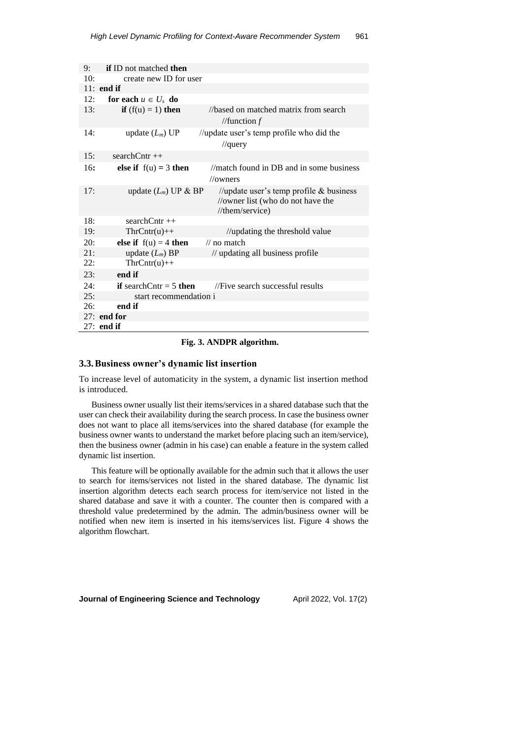| 9:  | <b>if</b> ID not matched <b>then</b>  |                                                         |
|-----|---------------------------------------|---------------------------------------------------------|
| 10: | create new ID for user                |                                                         |
|     | $11:$ end if                          |                                                         |
| 12: | for each $u \in U_s$ do               |                                                         |
| 13: | <b>if</b> $(f(u) = 1)$ then           | //based on matched matrix from search                   |
|     |                                       | //function $f$                                          |
| 14: | update $(L_m)$ UP                     | //update user's temp profile who did the                |
|     |                                       | $\theta$ //query                                        |
| 15: | $searchCntr++$                        |                                                         |
| 16: | else if $f(u) = 3$ then               | $\frac{1}{10}$ //match found in DB and in some business |
|     |                                       | // <sub>owners</sub>                                    |
| 17: | update $(L_m)$ UP & BP                | //update user's temp profile $&$ business               |
|     |                                       | //owner list (who do not have the                       |
|     |                                       | $//$ them/service)                                      |
| 18: | $searchCntr++$                        |                                                         |
| 19: | $ThrCntr(u)++$                        | //updating the threshold value                          |
| 20: | else if $f(u) = 4$ then               | $\frac{1}{2}$ no match                                  |
| 21: | update $(L_m)$ BP                     | // updating all business profile                        |
| 22: | $ThrCntr(u)++$                        |                                                         |
| 23: | end if                                |                                                         |
| 24: | <b>if</b> search Cntr = 5 <b>then</b> | //Five search successful results                        |
| 25: | start recommendation i                |                                                         |
| 26: | end if                                |                                                         |
|     | $27:$ end for                         |                                                         |
|     | $27:$ end if                          |                                                         |

### **Fig. 3. ANDPR algorithm.**

### **3.3.Business owner's dynamic list insertion**

To increase level of automaticity in the system, a dynamic list insertion method is introduced.

Business owner usually list their items/services in a shared database such that the user can check their availability during the search process. In case the business owner does not want to place all items/services into the shared database (for example the business owner wants to understand the market before placing such an item/service), then the business owner (admin in his case) can enable a feature in the system called dynamic list insertion.

This feature will be optionally available for the admin such that it allows the user to search for items/services not listed in the shared database. The dynamic list insertion algorithm detects each search process for item/service not listed in the shared database and save it with a counter. The counter then is compared with a threshold value predetermined by the admin. The admin/business owner will be notified when new item is inserted in his items/services list. Figure 4 shows the algorithm flowchart.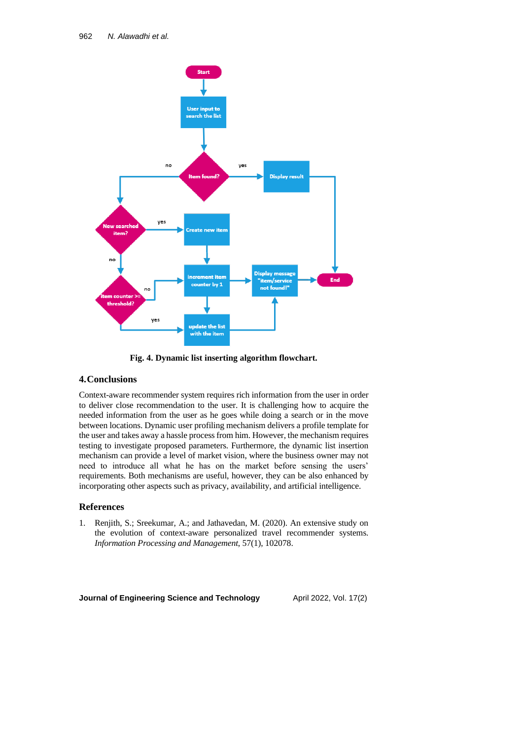

**Fig. 4. Dynamic list inserting algorithm flowchart.**

## **4.Conclusions**

Context-aware recommender system requires rich information from the user in order to deliver close recommendation to the user. It is challenging how to acquire the needed information from the user as he goes while doing a search or in the move between locations. Dynamic user profiling mechanism delivers a profile template for the user and takes away a hassle process from him. However, the mechanism requires testing to investigate proposed parameters. Furthermore, the dynamic list insertion mechanism can provide a level of market vision, where the business owner may not need to introduce all what he has on the market before sensing the users' requirements. Both mechanisms are useful, however, they can be also enhanced by incorporating other aspects such as privacy, availability, and artificial intelligence.

### **References**

1. Renjith, S.; Sreekumar, A.; and Jathavedan, M. (2020). An extensive study on the evolution of context-aware personalized travel recommender systems. *Information Processing and Management*, 57(1), 102078.